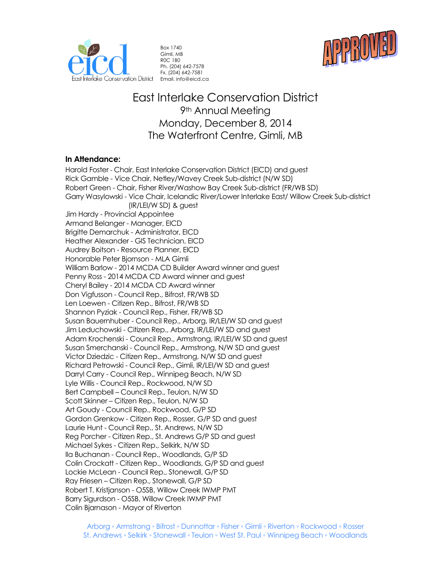



Box 1740 Gimli, MB R0C 1B0 Ph. (204) 642-7578 Fx. (204) 642-7581 Email. info@eicd.ca

# East Interlake Conservation District 9<sup>th</sup> Annual Meeting Monday, December 8, 2014 The Waterfront Centre, Gimli, MB

#### **In Attendance:**

Harold Foster - Chair, East Interlake Conservation District (EICD) and guest Rick Gamble - Vice Chair, Netley/Wavey Creek Sub-district (N/W SD) Robert Green - Chair, Fisher River/Washow Bay Creek Sub-district (FR/WB SD) Garry Wasylowski - Vice Chair, Icelandic River/Lower Interlake East/ Willow Creek Sub-district (IR/LEI/W SD) & guest Jim Hardy - Provincial Appointee Armand Belanger - Manager, EICD Brigitte Demarchuk - Administrator, EICD Heather Alexander - GIS Technician, EICD Audrey Boitson - Resource Planner, EICD Honorable Peter Bjornson - MLA Gimli William Barlow - 2014 MCDA CD Builder Award winner and guest Penny Ross - 2014 MCDA CD Award winner and guest Cheryl Bailey - 2014 MCDA CD Award winner Don Vigfusson - Council Rep., Bifrost, FR/WB SD Len Loewen - Citizen Rep., Bifrost, FR/WB SD Shannon Pyziak - Council Rep., Fisher, FR/WB SD Susan Bauernhuber - Council Rep., Arborg, IR/LEI/W SD and guest Jim Leduchowski - Citizen Rep., Arborg, IR/LEI/W SD and guest Adam Krochenski - Council Rep., Armstrong, IR/LEI/W SD and guest Susan Smerchanski - Council Rep., Armstrong, N/W SD and guest Victor Dziedzic - Citizen Rep., Armstrong, N/W SD and guest Richard Petrowski - Council Rep., Gimli, IR/LEI/W SD and guest Darryl Carry - Council Rep., Winnipeg Beach, N/W SD Lyle Willis - Council Rep., Rockwood, N/W SD Bert Campbell – Council Rep., Teulon, N/W SD Scott Skinner – Citizen Rep., Teulon, N/W SD Art Goudy - Council Rep., Rockwood, G/P SD Gordon Grenkow - Citizen Rep., Rosser, G/P SD and guest Laurie Hunt - Council Rep., St. Andrews, N/W SD Reg Porcher - Citizen Rep., St. Andrews G/P SD and guest Michael Sykes - Citizen Rep., Selkirk, N/W SD Ila Buchanan - Council Rep., Woodlands, G/P SD Colin Crockatt - Citizen Rep., Woodlands, G/P SD and guest Lockie McLean - Council Rep., Stonewall, G/P SD Ray Friesen – Citizen Rep., Stonewall, G/P SD Robert T. Kristjanson - O5SB, Willow Creek IWMP PMT Barry Sigurdson - O5SB, Willow Creek IWMP PMT Colin Bjarnason - Mayor of Riverton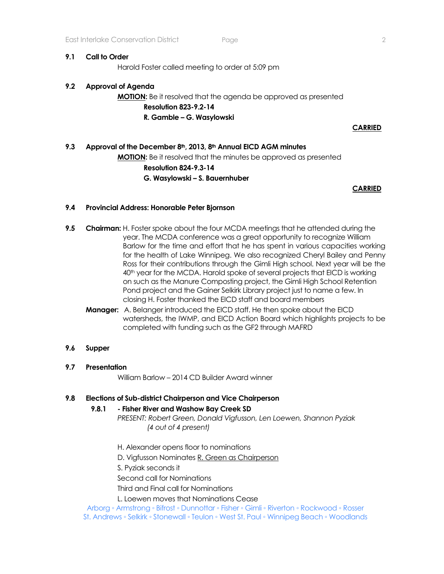#### **9.1 Call to Order**

Harold Foster called meeting to order at 5:09 pm

### **9.2 Approval of Agenda**

## **MOTION:** Be it resolved that the agenda be approved as presented **Resolution 823-9.2-14 R. Gamble – G. Wasylowski**

**CARRIED**

# **9.3 Approval of the December 8th, 2013, 8th Annual EICD AGM minutes MOTION:** Be it resolved that the minutes be approved as presented **Resolution 824-9.3-14 G. Wasylowski – S. Bauernhuber**

**CARRIED** 

#### **9.4 Provincial Address: Honorable Peter Bjornson**

- **9.5 Chairman:** H. Foster spoke about the four MCDA meetings that he attended during the year. The MCDA conference was a great opportunity to recognize William Barlow for the time and effort that he has spent in various capacities working for the health of Lake Winnipeg. We also recognized Cheryl Bailey and Penny Ross for their contributions through the Gimli High school. Next year will be the 40<sup>th</sup> year for the MCDA. Harold spoke of several projects that EICD is working on such as the Manure Composting project, the Gimli High School Retention Pond project and the Gainer Selkirk Library project just to name a few. In closing H. Foster thanked the EICD staff and board members
	- **Manager:** A. Belanger introduced the EICD staff. He then spoke about the EICD watersheds, the IWMP, and EICD Action Board which highlights projects to be completed with funding such as the GF2 through MAFRD

#### **9.6 Supper**

#### **9.7 Presentation**

William Barlow – 2014 CD Builder Award winner

#### **9.8 Elections of Sub-district Chairperson and Vice Chairperson**

#### **9.8.1 - Fisher River and Washow Bay Creek SD**

*PRESENT: Robert Green, Donald Vigfusson, Len Loewen, Shannon Pyziak (4 out of 4 present)*

H. Alexander opens floor to nominations

D. Vigfusson Nominates R. Green as Chairperson

S. Pyziak seconds it

Second call for Nominations

Third and Final call for Nominations

L. Loewen moves that Nominations Cease

Arborg ◦ Armstrong ◦ Bifrost ◦ Dunnottar ◦ Fisher ◦ Gimli ◦ Riverton ◦ Rockwood ◦ Rosser St. Andrews ◦ Selkirk ◦ Stonewall ◦ Teulon ◦ West St. Paul ◦ Winnipeg Beach ◦ Woodlands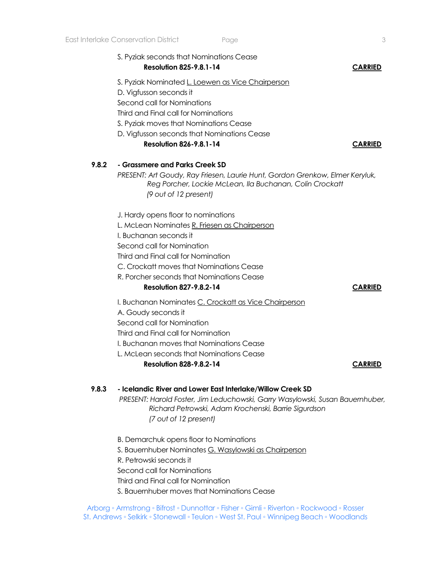|       | S. Pyziak seconds that Nominations Cease<br><b>Resolution 825-9.8.1-14</b>                                                                                                                                                                                                                                     | <b>CARRIED</b> |
|-------|----------------------------------------------------------------------------------------------------------------------------------------------------------------------------------------------------------------------------------------------------------------------------------------------------------------|----------------|
|       | S. Pyziak Nominated L. Loewen as Vice Chairperson<br>D. Vigfusson seconds it<br>Second call for Nominations<br>Third and Final call for Nominations<br>S. Pyziak moves that Nominations Cease<br>D. Vigfusson seconds that Nominations Cease<br><b>Resolution 826-9.8.1-14</b>                                 | <b>CARRIED</b> |
| 9.8.2 | - Grassmere and Parks Creek SD<br>PRESENT: Art Goudy, Ray Friesen, Laurie Hunt, Gordon Grenkow, Elmer Keryluk,<br>Reg Porcher, Lockie McLean, Ila Buchanan, Colin Crockatt<br>(9 out of 12 present)                                                                                                            |                |
|       | J. Hardy opens floor to nominations<br>L. McLean Nominates R. Friesen as Chairperson<br>I. Buchanan seconds it<br>Second call for Nomination<br>Third and Final call for Nomination<br>C. Crockatt moves that Nominations Cease<br>R. Porcher seconds that Nominations Cease<br><b>Resolution 827-9.8.2-14</b> | <b>CARRIED</b> |
|       | I. Buchanan Nominates C. Crockatt as Vice Chairperson<br>A. Goudy seconds it<br>Second call for Nomination<br>Third and Final call for Nomination<br>I. Buchanan moves that Nominations Cease<br>L. McLean seconds that Nominations Cease<br><b>Resolution 828-9.8.2-14</b>                                    | <b>CARRIED</b> |
| 9.8.3 | - Icelandic River and Lower East Interlake/Willow Creek SD<br>PRESENT: Harold Foster, Jim Leduchowski, Garry Wasylowski, Susan Bauernhuber,<br>Richard Petrowski, Adam Krochenski, Barrie Sigurdson<br>(7 out of 12 present)                                                                                   |                |
|       | B. Demarchuk opens floor to Nominations                                                                                                                                                                                                                                                                        |                |

B. Demarchuk opens floor to Nominations S. Bauernhuber Nominates G. Wasylowski as Chairperson R. Petrowski seconds it Second call for Nominations Third and Final call for Nomination S. Bauernhuber moves that Nominations Cease

Arborg ◦ Armstrong ◦ Bifrost ◦ Dunnottar ◦ Fisher ◦ Gimli ◦ Riverton ◦ Rockwood ◦ Rosser St. Andrews ◦ Selkirk ◦ Stonewall ◦ Teulon ◦ West St. Paul ◦ Winnipeg Beach ◦ Woodlands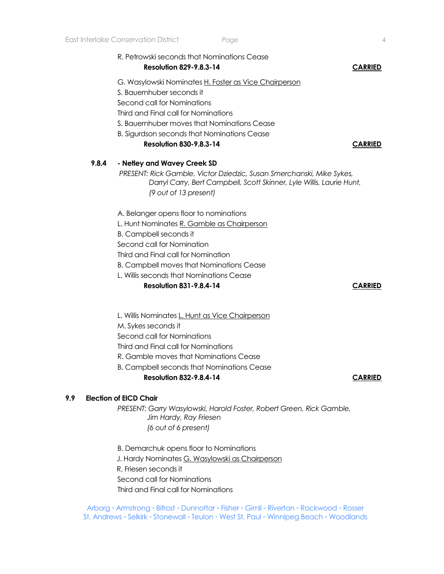|       | R. Petrowski seconds that Nominations Cease<br><b>Resolution 829-9.8.3-14</b>                                                                                           | <b>CARRIED</b> |
|-------|-------------------------------------------------------------------------------------------------------------------------------------------------------------------------|----------------|
|       | G. Wasylowski Nominates H. Foster as Vice Chairperson                                                                                                                   |                |
|       | S. Bauernhuber seconds it                                                                                                                                               |                |
|       | Second call for Nominations                                                                                                                                             |                |
|       | Third and Final call for Nominations                                                                                                                                    |                |
|       | S. Bauernhuber moves that Nominations Cease                                                                                                                             |                |
|       | <b>B. Sigurdson seconds that Nominations Cease</b>                                                                                                                      |                |
|       | <b>Resolution 830-9.8.3-14</b>                                                                                                                                          | <b>CARRIED</b> |
| 9.8.4 | - Netley and Wavey Creek SD                                                                                                                                             |                |
|       | PRESENT: Rick Gamble, Victor Dziedzic, Susan Smerchanski, Mike Sykes,<br>Darryl Carry, Bert Campbell, Scott Skinner, Lyle Willis, Laurie Hunt,<br>(9 out of 13 present) |                |
|       | A. Belanger opens floor to nominations                                                                                                                                  |                |
|       | L. Hunt Nominates R. Gamble as Chairperson                                                                                                                              |                |
|       | <b>B.</b> Campbell seconds it                                                                                                                                           |                |
|       | Second call for Nomination                                                                                                                                              |                |
|       | Third and Final call for Nomination                                                                                                                                     |                |
|       | <b>B. Campbell moves that Nominations Cease</b>                                                                                                                         |                |
|       | L. Willis seconds that Nominations Cease                                                                                                                                |                |
|       | <b>Resolution 831-9.8.4-14</b>                                                                                                                                          | <b>CARRIED</b> |
|       |                                                                                                                                                                         |                |
|       | L. Willis Nominates L. Hunt as Vice Chairperson                                                                                                                         |                |
|       | M. Sykes seconds it                                                                                                                                                     |                |
|       | Second call for Nominations                                                                                                                                             |                |
|       | Third and Einal call for Nominations                                                                                                                                    |                |

Third and Final call for Nominations

R. Gamble moves that Nominations Cease

B. Campbell seconds that Nominations Cease

#### **Resolution 832-9.8.4-14 CARRIED**

#### **9.9 Election of EICD Chair**

*PRESENT: Garry Wasylowski, Harold Foster, Robert Green, Rick Gamble, Jim Hardy, Ray Friesen (6 out of 6 present)*

B. Demarchuk opens floor to Nominations

J. Hardy Nominates G. Wasylowski as Chairperson

R. Friesen seconds it

Second call for Nominations

Third and Final call for Nominations

Arborg ◦ Armstrong ◦ Bifrost ◦ Dunnottar ◦ Fisher ◦ Gimli ◦ Riverton ◦ Rockwood ◦ Rosser St. Andrews ◦ Selkirk ◦ Stonewall ◦ Teulon ◦ West St. Paul ◦ Winnipeg Beach ◦ Woodlands